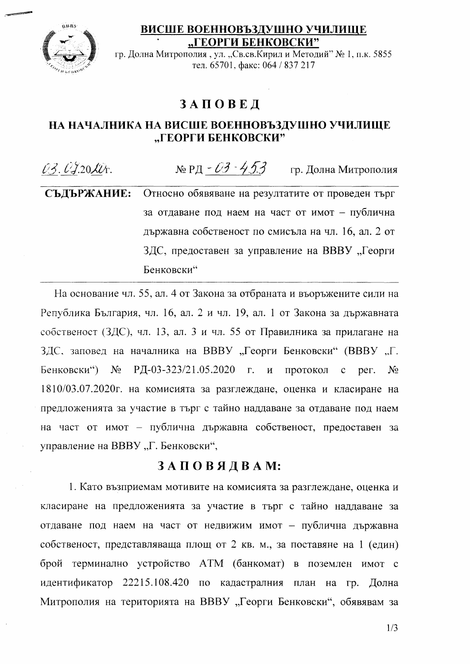## ВИСШЕ ВОЕННОВЪЗДУШНО УЧИЛИЩЕ "ГЕОРГИ БЕНКОВСКИ"



гр. Долна Митрополия, ул. "Св.св. Кирил и Методий" № 1, п.к. 5855 тел. 65701, факс: 064 / 837 217

## **ЗАПОВЕД**

## НА НАЧАЛНИКА НА ВИСШЕ ВОЕННОВЪЗДУШНО УЧИЛИЩЕ "ГЕОРГИ БЕНКОВСКИ"

№ РД - ОЗ - 453 гр. Долна Митрополия  $03.0320$ lt. СЪДЪРЖАНИЕ: Относно обявяване на резултатите от проведен търг за отдаване под наем на част от имот - публична

> държавна собственост по смисъла на чл. 16, ал. 2 от ЗДС, предоставен за управление на ВВВУ "Георги Бенковски"

На основание чл. 55, ал. 4 от Закона за отбраната и въоръжените сили на Република България, чл. 16, ал. 2 и чл. 19, ал. 1 от Закона за държавната собственост (ЗДС), чл. 13, ал. 3 и чл. 55 от Правилника за прилагане на ЗДС, заповед на началника на ВВВУ "Георги Бенковски" (ВВВУ "Г. РД-03-323/21.05.2020 г. Бенковски")  $N<sub>0</sub>$  $\mathbf{M}$ протокол  $\mathbf{c}$ per.  $N_2$ 1810/03.07.2020г. на комисията за разглеждане, оценка и класиране на предложенията за участие в търг с тайно наддаване за отдаване под наем на част от имот - публична държавна собственост, предоставен за управление на ВВВУ "Г. Бенковски",

## ЗАПОВЯДВАМ:

1. Като възприемам мотивите на комисията за разглеждане, оценка и класиране на предложенията за участие в търг с тайно наддаване за отдаване под наем на част от недвижим имот - публична държавна собственост, представляваща площ от 2 кв. м., за поставяне на 1 (един) брой терминално устройство АТМ (банкомат) в поземлен имот с идентификатор 22215.108.420 по кадастралния план на гр. Долна Митрополия на територията на ВВВУ "Георги Бенковски", обявявам за

 $1/3$